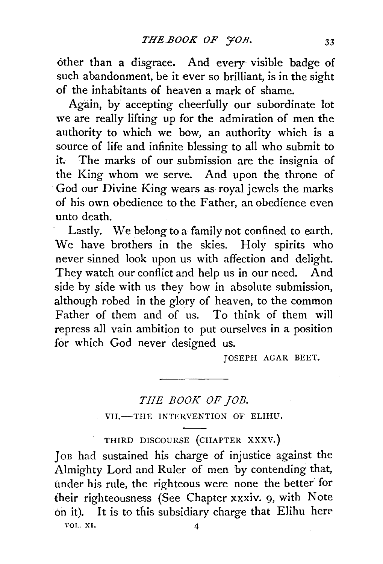other than a disgrace. And every- visible badge of such abandonment, be it ever so brilliant, is in the sight of the inhabitants of heaven a mark of shame.

Again, by accepting cheerfully our subordinate lot we are really lifting up for the admiration of men the authority to which we bow, an authority which is a source of life and infinite blessing to all who submit to it. The marks of our submission are the insignia of the King whom we serve. And upon the throne of God our Divine King wears as royal jewels the marks of his own obedience to the Father, an obedience even unto death.

Lastly. We belong to a family not confined to earth. We have brothers in the skies. Holy spirits who never sinned look upon us with affection and delight. They watch our conflict and help us in our need. And side by side with us they bow in absolute submission, although robed in the glory of heaven, to the common Father of them and of us. To think of them will repress all vain ambition to put ourselves in a position for which God never designed us.

JOSEPH AGAR BEET.

## *THE BOOK OF JOB.*

VII.-THE INTERVENTION OF ELIHU.

THIRD DISCOURSE {CHAPTER XXXV.)

Jon had sustained his charge of injustice against the Almighty Lord and Ruler of men by contending that, under his rule, the righteous were none the better for their righteousness (See Chapter xxxiv. 9, with Note on it). It is to this subsidiary charge that Elihu here YOT., XI. 4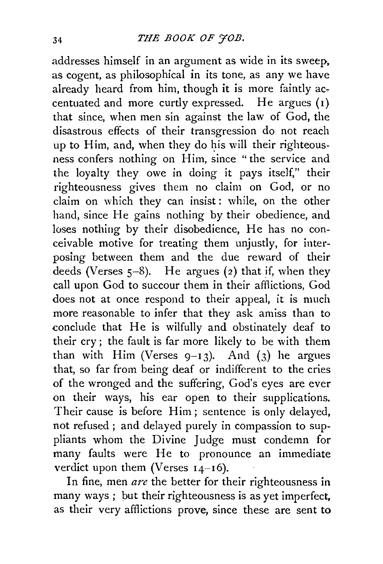addresses himself in an argument as wide in its sweep, as cogent, as philosophical in its tone, as any we have already heard from him, though it is more faintly accentuated and more curtly expressed. He argues (1) that since, when men sin against the law of God, the disastrous effects of their transgression do not reach up to Him, and, when they do his will their righteousness confers nothing on Him, since "the service and the loyalty they owe in doing it pays itself," their righteousness gives them no claim on God, or no claim on which they can insist: while, on the other hand, since He gains nothing by their obedience, and loses nothing by their disobedience, He has no conceivable motive for treating them unjustly, for interposing between them and the due reward of their deeds (Verses  $5-8$ ). He argues (2) that if, when they call upon God to succour them in their afflictions, God does not at once respond to their appeal, it is much more reasonable to infer that they ask amiss than to conclude that He is wilfully and obstinately deaf to their cry ; the fault is far more likely to be with them than with Him (Verses  $9-13$ ). And (3) he argues that, so far from being deaf or indifferent to the cries of the wronged and the suffering, God's eyes are ever on their ways, his ear open to their supplications. Their cause is before Him; sentence is only delayed, not refused ; and delayed purely in compassion to suppliants whom the Divine Judge must condemn for many faults were He to pronounce an immediate verdict upon them (Verses 14-16).

In fine, men are the better for their righteousness in many ways ; but their righteousness is as yet imperfect, as their very afflictions prove, since these are sent to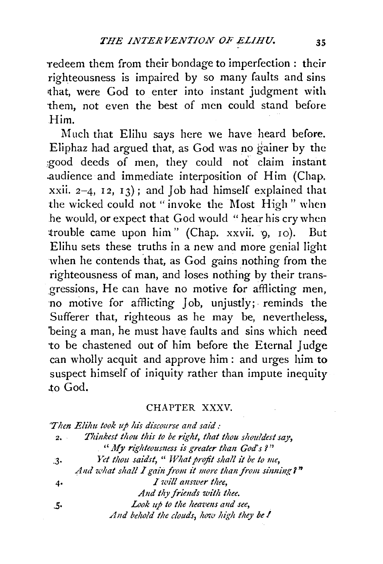redeem them from their bondage to imperfection : their righteousness is impaired by so many faults and sins rthat, were God to enter into instant judgment with them, not even the best of men could stand before Him.

Much that Elihu says here we have heard before. Eliphaz had argued that, as God was no gainer by the :good deeds of men, they could not claim instant .audience and immediate interposition of Him (Chap. xxii.  $2-4$ ,  $12$ ,  $13$ ); and Job had himself explained that the wicked could not "invoke the Most High" when he would, or expect that God would "hear his cry when trouble came upon him" (Chap. xxvii. 9, 10). But Elihu sets these truths in a new and more genial light when he contends that, as God gains nothing from the righteousness of man, and loses nothing by their transgressions, He can have no motive for afflicting men, no motive for afflicting Job, unjustly; reminds the Sufferer that, righteous as he may be, nevertheless, being a man, he must have faults and sins which need to be chastened out of him before the Eternal Judge can wholly acquit and approve him : and urges him to suspect himself of iniquity rather than impute inequity .to God.

## CHAPTER XXXV.

|            | Then Elihu took up his discourse and said :              |
|------------|----------------------------------------------------------|
| 2.         | Thinkest thou this to be right, that thou shouldest say, |
|            | " My righteousness is greater than God's?"               |
| $\cdot$ 3. | Yet thou saidst, " What profit shall it be to me,        |
|            | And what shall I gain from it more than from sinning?"   |
| 4.         | I will answer thee.                                      |
|            | And thy friends with thee.                               |
| - 5.       | Look up to the heavens and see,                          |
|            | And behold the clouds, how high they be !                |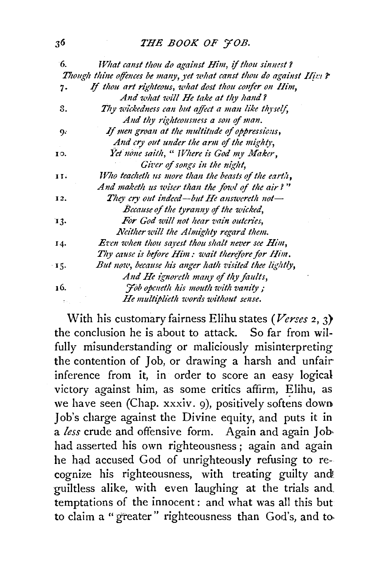## *THE BOOK OF YOB.*

| 6.  | What canst thou do against Him, if thou sinnest?                    |
|-----|---------------------------------------------------------------------|
|     | Though thine offences be many, yet what canst thou do against Him ? |
| 7.  | If thou art righteous, what dost thou confer on Him,                |
|     | And what will He take at thy hand?                                  |
| 8.  | Thy wickedness can but affect a man like thyself,                   |
|     | And thy righteousness a son of man.                                 |
| 9.  | If men groan at the multitude of oppressions,                       |
|     | And cry out under the arm of the mighty,                            |
| 10. | Yet none saith, " Where is God my Maker,                            |
|     | Giver of songs in the night,                                        |
| 11. | Who teacheth us more than the beasts of the earth,                  |
|     | And maketh us wiser than the fowl of the air?"                      |
| 12. | They cry out indeed—but He answereth not—                           |
|     | Because of the tyranny of the wicked,                               |
| 13. | For God will not hear vain outcries,                                |
|     | Neither will the Almighty regard them.                              |
| 14. | <b>Even when thou sayest thou shalt never see Him,</b>              |
|     | Thy cause is before Him: wait therefore for Him.                    |
| 15. | But now, because his anger hath visited thee lightly,               |
|     | And He ignoreth many of thy faults,                                 |
| 16. | <i>Fob openeth his mouth with vanity</i> ;                          |
|     | He multiplieth words without sense.                                 |

With his customary fairness Elihu states *(Verses* 2, 3} the conclusion he is about to attack. So far from wilfully misunderstanding or maliciously misinterpreting the contention of Job, or drawing a harsh and unfair inference from it, in order to score an easy logical victory against him, as some critics affirm, Elihu, as we have seen (Chap. xxxiv. 9), positively softens down Job's charge against the Divine equity, and puts it in a *less* crude and offensive form. Again and again Jobhad asserted his own righteousness; again and again he had accused God of unrighteously refusing to recognize his righteousness, with treating guilty and guiltless alike, with even laughing at the trials and\_ temptations of the innocent: and what was all this but to claim a "greater" righteousness than God's, and to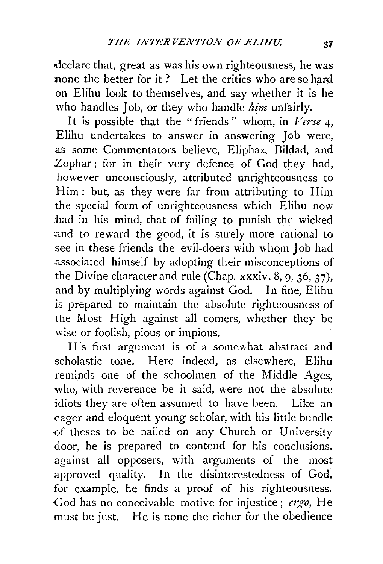declare that, great as was his own righteousness, he was none the better for it? Let the critics who are so hard on Elihu look to themselves, and say whether it is he who handles Job, or they who handle *him* unfairly.

It is possible that the "friends " whom, in *Verse* 4, Elihu undertakes to answer in answering Job were, as some Commentators believe, Eliphaz, Bildad, and Zophar ; for in their very defence of God they had, however unconsciously, attributed unrighteousness to Him: but, as they were far from attributing to Him the special form of unrighteousness which Elihu now had in his mind, that of failing to punish the wicked and to reward the good, it is surely more rational to see in these friends the evil-doers with whom Job had .associated himself by adopting their misconceptions of the Divine character and rule (Chap. xxxiv. 8, 9, 36, 37), and by multiplying words against God. In fine, Elihu is prepared to maintain the absolute righteousness of the Most High against all comers, whether they be wise or foolish, pious or impious.

His first argument is of a somewhat abstract and scholastic tone. Here indeed, as elsewhere, Elihu reminds one of the schoolmen of the Middle *Ages,*  who, with reverence be it said, were not the absolute idiots they are often assumed to have been. Like an eager and eloquent young scholar, with his little bundle -of theses to be nailed on any Church or University door, he is prepared to contend for his conclusions. against all opposers, with arguments of the most approved quality. In the disinterestedness of God, for example, he finds a proof of his righteousness. God has no conceivable motive for injustice; *ergo,* He must be just. He is none the richer for the obedience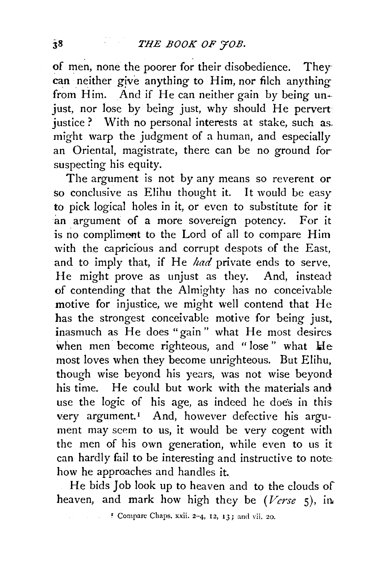. . of men, none the poorer for their disobedience. They· can neither give anything to Him, nor filch anything from Him. And if He can neither gain by being unjust, nor lose by being just, why should He pervert justice? With no personal interests at stake, such as. might warp the judgment of a human, and especially an Oriental, magistrate, there can be no ground for suspecting his equity.

The argument is not by any means so reverent or so conclusive as Elihu thought it. It would be easy to pick logical holes in it, or even to substitute for it an argument of a more sovereign potency. For it is no compliment to the Lord of all to compare Him with the capricious and corrupt despots of the East, and to imply that, if He *had* private ends to serve, He might prove as unjust as they. And, instead of contending that the Almighty has no conceivable motive for injustice, we might well contend that He has the strongest conceivable motive for being just. inasmuch as He does "gain " what He most desires when men become righteous, and "lose" what He most loves when they become unrighteous. But Elihu, though wise beyond his years, was not wise beyond his time. He could but work with the materials and use the logic of his age, as indeed he doe's in this very argument.<sup>1</sup> And, however defective his argument may seem to us, it would be very cogent with the men of his own generation, while even to us it can hardly fail to be interesting and instructive to note: how he approaches and handles it.

He bids Job look up to heaven and to the clouds of heaven, and mark how high they be *(Verse* 5), in

~ Compare Chaps. xxii. 2-4, 12, 13; and Yii. 20.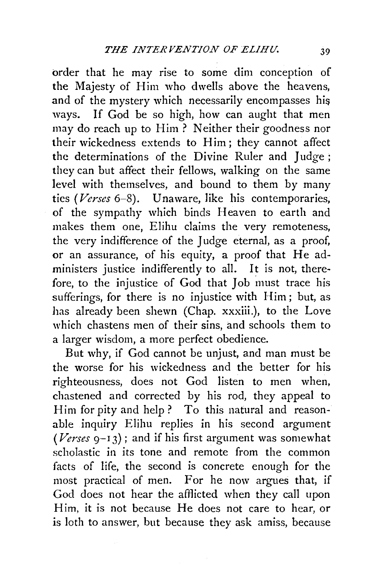order that he may rise to some dim conception of the Majesty of Him who dwells above the heavens, and of the mystery which necessarily encompasses his ways. If God be so high, how can aught that men may do reach up to Him ? Neither their goodness nor their wickedness extends to Him; they cannot affect the determinations of the Divine Ruler and Judge ; they can but affect their fellows, walking on the same level with themselves, and bound to them by many tics *(Verses* 6-8). Unaware, like his contemporaries, of the sympathy which binds Heaven to earth and makes them one, Elihu claims the very remoteness, the very indifference of the Judge eternal, as a proof, or an assurance, of his equity, a proof that He administers justice indifferently to all. It is not, therefore, to the injustice of God that Job must trace his sufferings, for there is no injustice with Him; but, as has already been shewn (Chap. xxxiii.), to the Love which chastens men of their sins, and schools them to a larger wisdom, a more perfect obedience.

But why, if God cannot be unjust, and man must be the worse for his wickedness and the better for his righteousness, does not God listen to men when, chastened and corrected by his rod, they appeal to Him for pity and help? To this natural and reasonable inquiry Elihu replies in his second argument  $(Verses 9-13)$ ; and if his first argument was somewhat scholastic in its tone and remote from the common facts of life, the second is concrete enough for the most practical of men. For he now argues that, if God does not hear the afflicted when they call upon Him, it is not because He does not care to hear, or is loth to answer, but because they ask amiss, because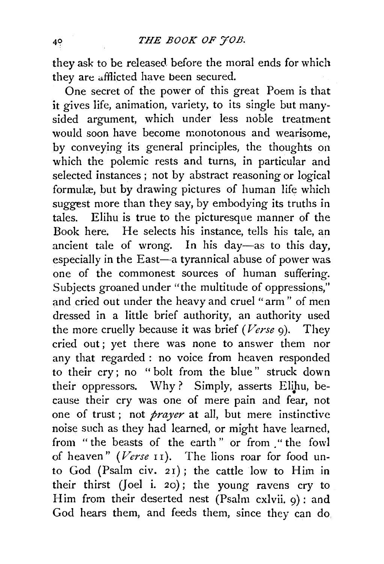they ask to be released before the moral ends for which they are afflicted have been secured.

One secret of the power of this great Poem is that it gives life, animation, variety, to its single but manysided argument, which under less noble treatment would soon have become monotonous and wearisome, by conveying its general principles, the thoughts on which the polemic rests and turns, in particular and selected instances ; not by abstract reasoning or logical formulæ, but by drawing pictures of human life which suggest more than they say, by embodying its truths in tales. Elihu is true to the picturesque manner of the Book here. He selects his instance, tells his tale, an ancient tale of wrong. In his day-as to this day, especially in the East-a tyrannical abuse of power was one of the commonest sources of human suffering. Subjects groaned under "the multitude of oppressions," and cried out under the heavy and cruel "arm " of men dressed in a little brief authority, an authority used the more cruelly because it was brief *(Verse* 9). They cried out; yet there was none to answer them nor any that regarded: no voice from heaven responded to their cry; no "bolt from the blue" struck down their oppressors. Why? Simply, asserts Elihu, because their cry was one of mere pain and fear, not one of trust ; not *prayer* at all, but mere instinctive noise such as they had learned, or might have learned, from "the beasts of the earth" or from "the fowl of heaven" (Verse II). The lions roar for food unto God (Psalm civ. 2I); the cattle low to Him in their thirst (Joel i. 20); the young ravens cry to Him from their deserted nest (Psalm cxlvii. 9): and God hears them, and feeds them, since they can do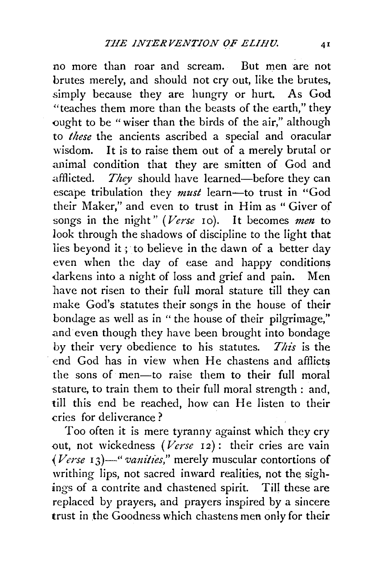no more than roar and scream. But men are not brutes merely, and should not cry out, like the brutes, simply because they are hungry or hurt. As God "teaches them more than the beasts of the earth," they ought to be " wiser than the birds of the air," although to *these* the ancients ascribed a special and oracular wisdom. It is to raise them out of a merely brutal or animal condition that they are smitten of God and afflicted. *They* should have learned-before they can escape tribulation they *must* learn-to trust in "God their Maker," and even to trust in Him as "Giver of songs in the night" (Verse 10). It becomes men to look through the shadows of discipline to the light that lies beyond it; to believe in the dawn of a better day even when the day of ease and happy conditions darkens into a night of loss and grief and pain. Men have not risen to their full moral stature till they can make God's statutes their songs in the house of their bondage as well as in " the house of their pilgrimage," and even though they have been brought into bondage by their very obedience to his statutes. *This* is the end God has in view when He chastens and afflicts the sons of men-to raise them to their full moral stature, to train them to their full moral strength : and, till this end be reached, how can He listen to their cries for deliverance?

Too often it is mere tyranny against which they cry out, not wickedness (Verse 12): their cries are vain *(Verse 13)*—" *vanities,*" merely muscular contortions of writhing lips, not sacred inward realities, not the sighings of a contrite and chastened spirit. Till these are replaced by prayers, and prayers inspired by a sincere trust in the Goodness which chastens men only for their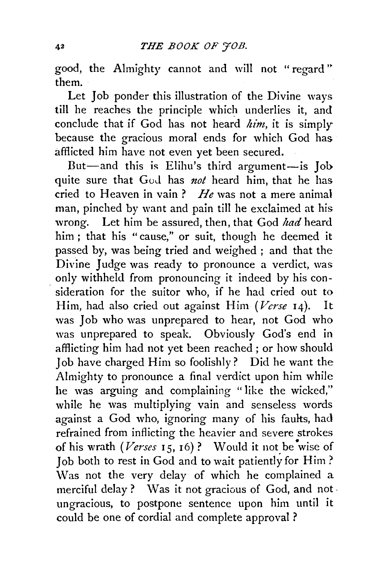good, the Almighty cannot and will not "regard" them.

Let Job ponder this illustration of the Divine ways till he reaches the principle which underlies it, and conclude that if God has not heard *him,* it is simply because the gracious moral ends for which God has afflicted him have not even yet been secured.

But-and this is Elihu's third argument-is Job quite sure that God has *not* heard him, that he has cried to Heaven in vain? *He* was not a mere animal man, pinched by want and pain till he exclaimed at his wrong. Let him be assured, then, that God *had* heard him ; that his "cause," or suit, though he deemed it passed by, was being tried and weighed ; and that the Divine Judge was ready to pronounce a verdict, was only withheld from pronouncing it indeed by his con sideration for the suitor who, if he had cried out to Him, had also cried out against Him *(Verse* 14). It was Job who was unprepared to hear, not God who was unprepared to speak. Obviously God's end in afflicting him had not yet been reached ; or how should Job have charged Him so foolishly? Did he want the Almighty to pronounce a final verdict upon him while he was arguing and complaining "like the wicked," while he was multiplying vain and senseless words against a God who, ignoring many of his faults, had refrained from inflicting the heavier and severe strokes of his wrath  $(Verses 15, 16)$ ? Would it not be wise of. Job both to rest in God and to wait patiently for Him? Was not the very delay of which he complained a merciful delay ? Was it not gracious of God, and not· ungracious, to postpone sentence upon him until it could be one of cordial and complete approval ?